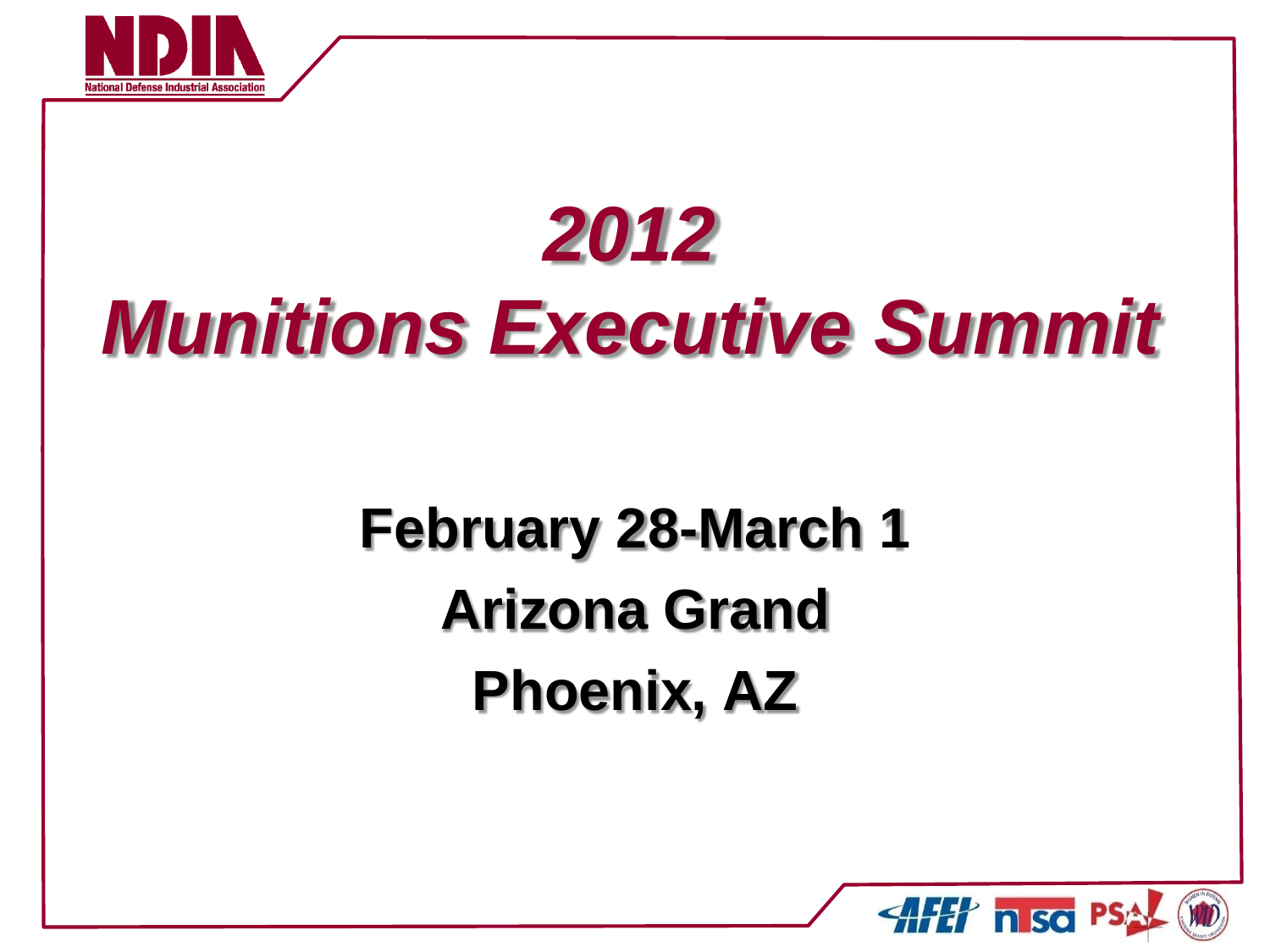

## **February 28-March 1 Arizona Grand Phoenix, AZ**

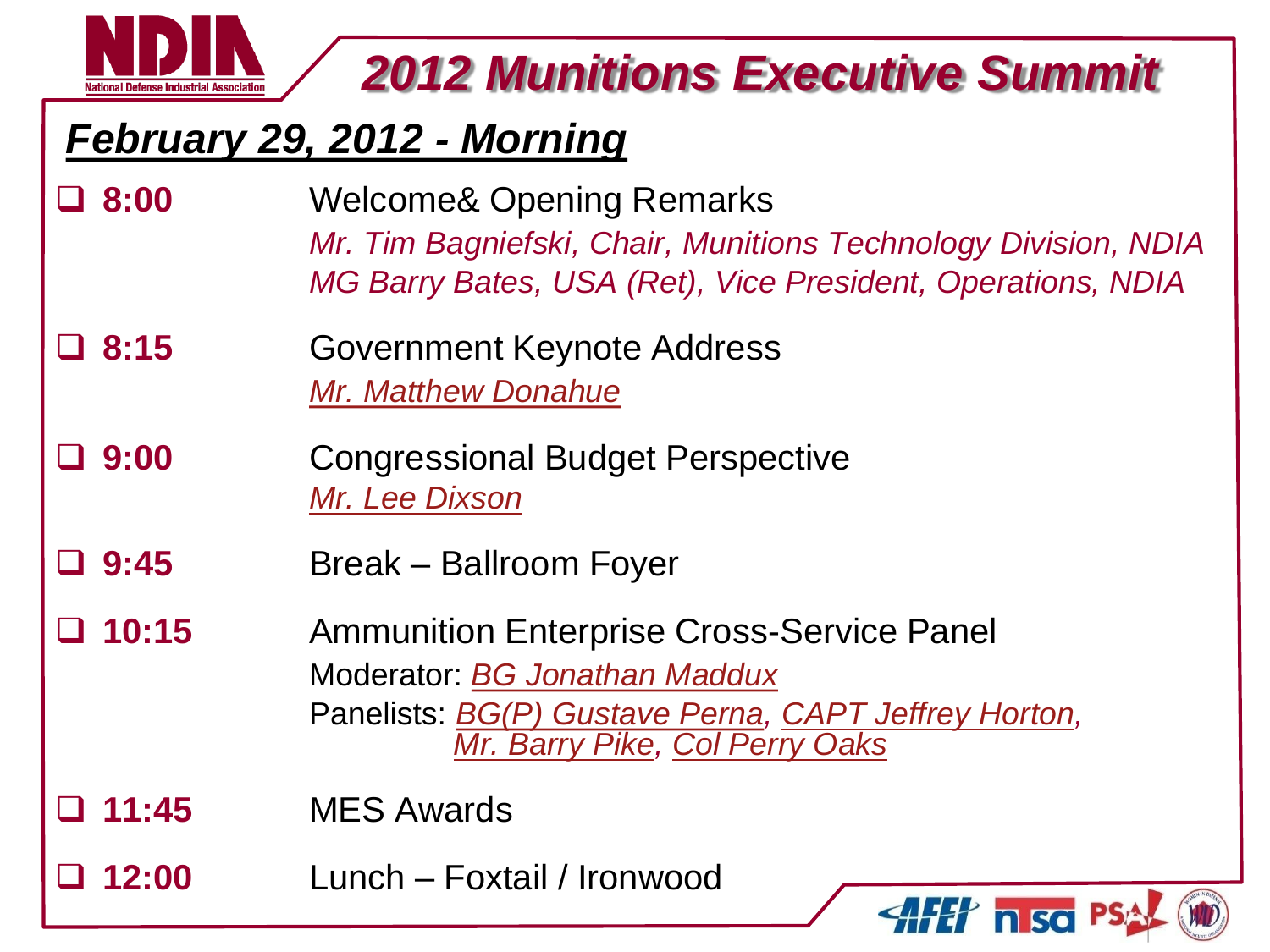

#### *February 29, 2012 - Morning*

- **8:00** Welcome& Opening Remarks *Mr. Tim Bagniefski, Chair, Munitions Technology Division, NDIA MG Barry Bates, USA (Ret), Vice President, Operations, NDIA*
- **8:15** Government Keynote Address *[Mr. Matthew Donahue](Briefs/022912_Donohue_Munitions Conference.ppt)*
- **9:00** Congressional Budget Perspective *[Mr. Lee Dixson](Briefs/Lee Dixson.pptx)*
- **9:45** Break Ballroom Foyer
- **10:15** Ammunition Enterprise Cross-Service Panel Moderator: *[BG Jonathan Maddux](Briefs/JonathanMaddux_Updated.pptx)* Panelists: *[BG\(P\) Gustave Perna](Briefs/GustavePerna.ppt), [CAPT Jeffrey Horton](Briefs/NDIA MES 2012 NAVSEA Final V2.pptx), [Mr. Barry Pike](Briefs/BarryPike.ppt), [Col Perry Oaks](Briefs/Col Oaks.pptx)*
- **11:45** MES Awards

**12:00** Lunch – Foxtail / Ironwood

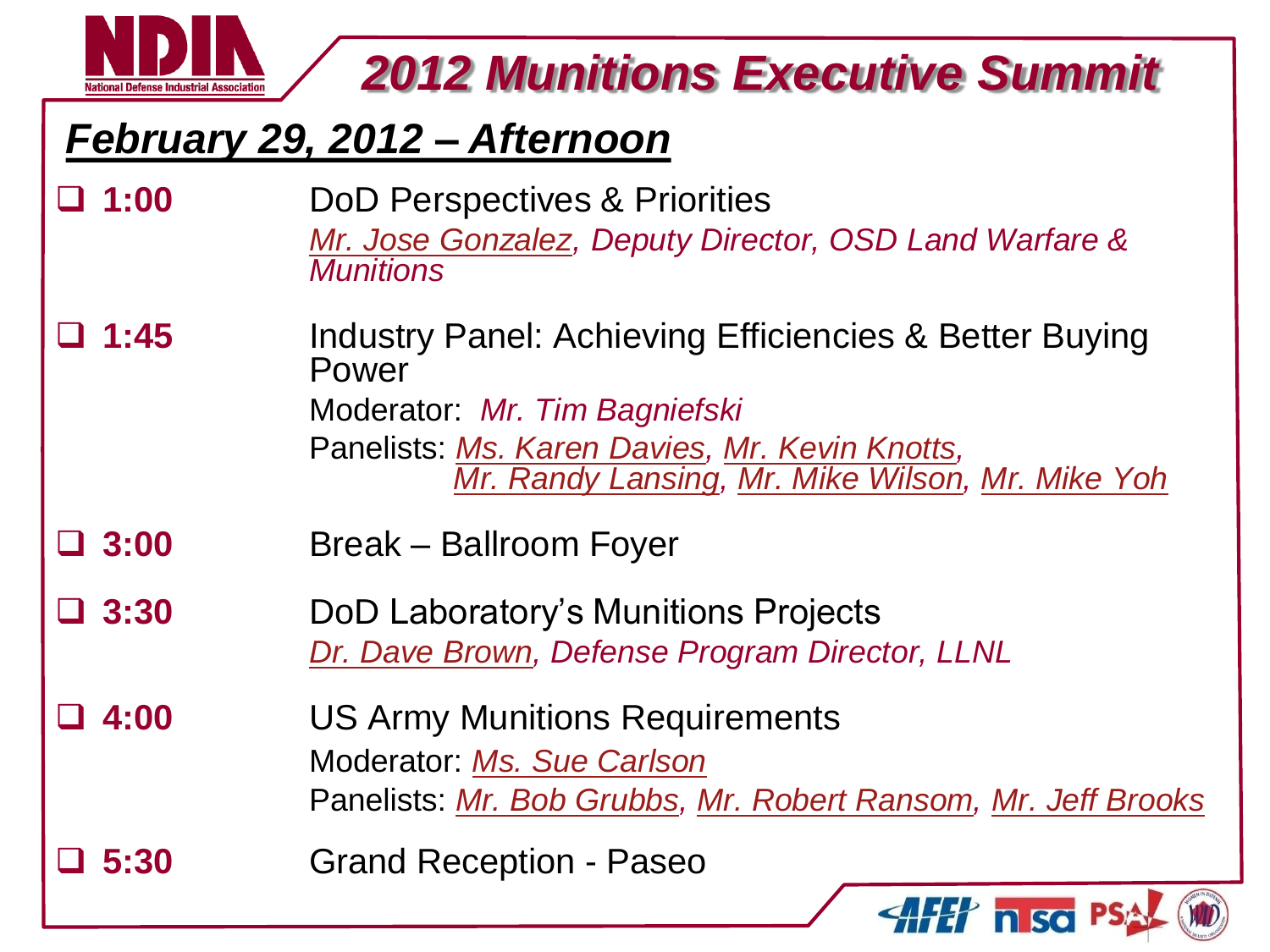

#### *February 29, 2012 – Afternoon*

- **1:00** DoD Perspectives & Priorities *[Mr. Jose Gonzalez,](Briefs/JoseGonzalez.pptx) Deputy Director, OSD Land Warfare & Munitions*
- **1:45** Industry Panel: Achieving Efficiencies & Better Buying Power Moderator: *Mr. Tim Bagniefski* Panelists: *[Ms. Karen Davies](Briefs/Davies.pptx), [Mr. Kevin Knotts](Briefs/Updated_KevinKnotts.pptx), [Mr. Randy Lansing](Briefs/Randy Lansing Brief 2012 MES Industry Panel.pptx), [Mr. Mike Wilson](Briefs/Mike Wilson.pptx), [Mr. Mike Yoh](Briefs/MikeYoh.ppt)*
- **3:00** Break Ballroom Foyer
- **3:30** DoD Laboratory's Munitions Projects *[Dr. Dave Brown](Briefs/Munitions brief input DRAFT v9  120224.pptx), Defense Program Director, LLNL*
- **4:00** US Army Munitions Requirements Moderator: *[Ms. Sue Carlson](Briefs/Sue Carlson.pptx)* Panelists: *[Mr. Bob Grubbs](Briefs/Robert Grubbs.ppt), [Mr. Robert Ransom,](Briefs/BobbyRansom.ppt) [Mr. Jeff Brooks](Briefs/JeffBrooks.ppt)*
- **5:30** Grand Reception Paseo

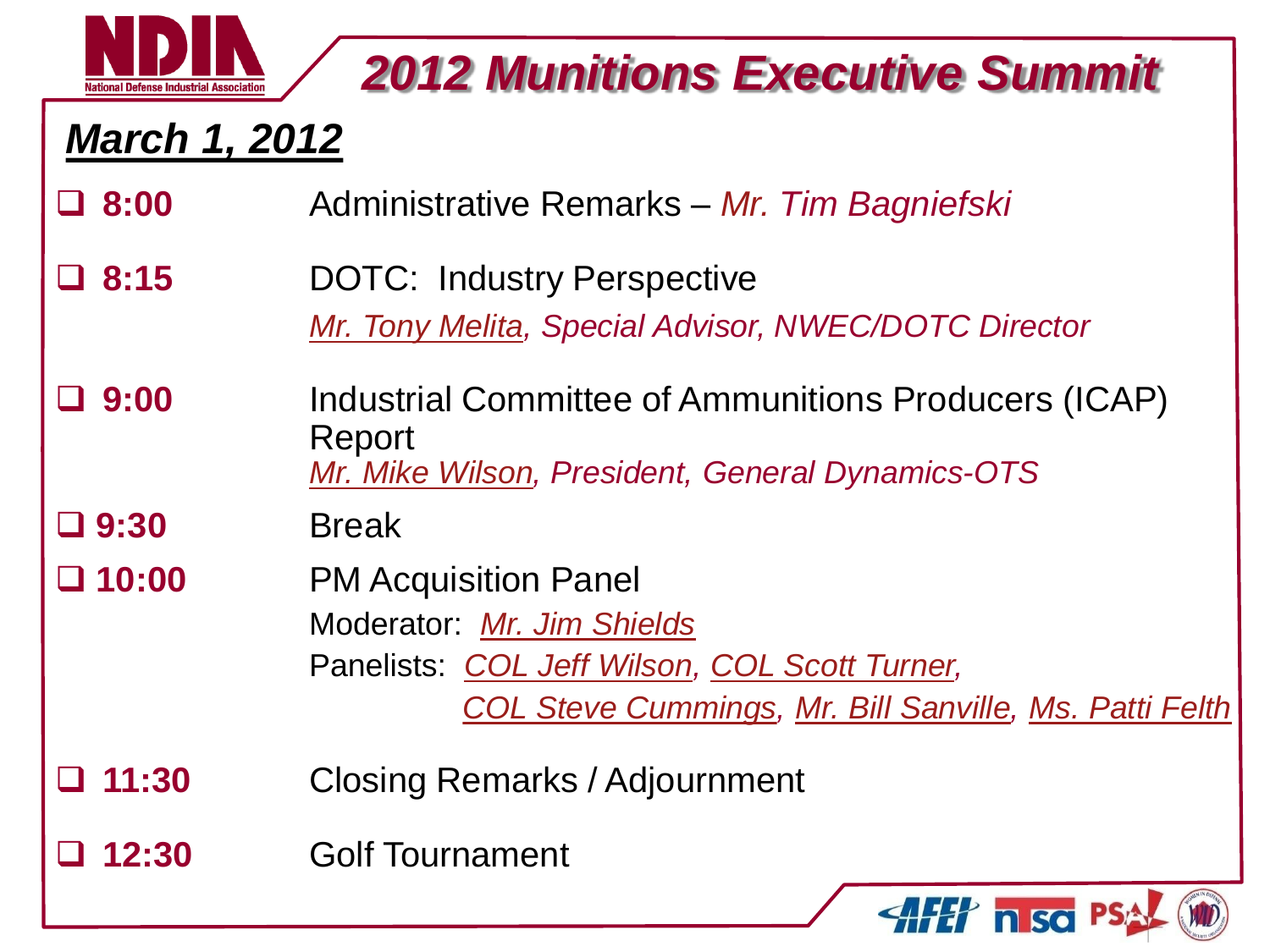

#### *March 1, 2012*

- **8:00** Administrative Remarks *Mr. Tim Bagniefski*
- **8:15** DOTC: Industry Perspective *[Mr. Tony Melita,](Briefs/Tony Melita.ppt) Special Advisor, NWEC/DOTC Director*
- **9:00** Industrial Committee of Ammunitions Producers (ICAP) Report *[Mr. Mike Wilson](Briefs/Mike Wilson-ICAP.pptx), President, General Dynamics-OTS*

#### **9:30** Break

- **10:00** PM Acquisition Panel Moderator: *[Mr. Jim Shields](Briefs/1)  Shields MES Acq Panel Feb12 v2 minus notes.pptx)* Panelists: *[COL Jeff Wilson,](Briefs/JeffWilson.pptx) [COL Scott Turner](Briefs/Scott Turner.pptx), [COL Steve Cummings](Briefs/StevenCummings.pptx), [Mr. Bill Sanville](Briefs/WilliamSanville.pptx), [Ms. Patti Felth](Briefs/PattiFelth.pptx)*
- **11:30** Closing Remarks / Adjournment
- **12:30** Golf Tournament